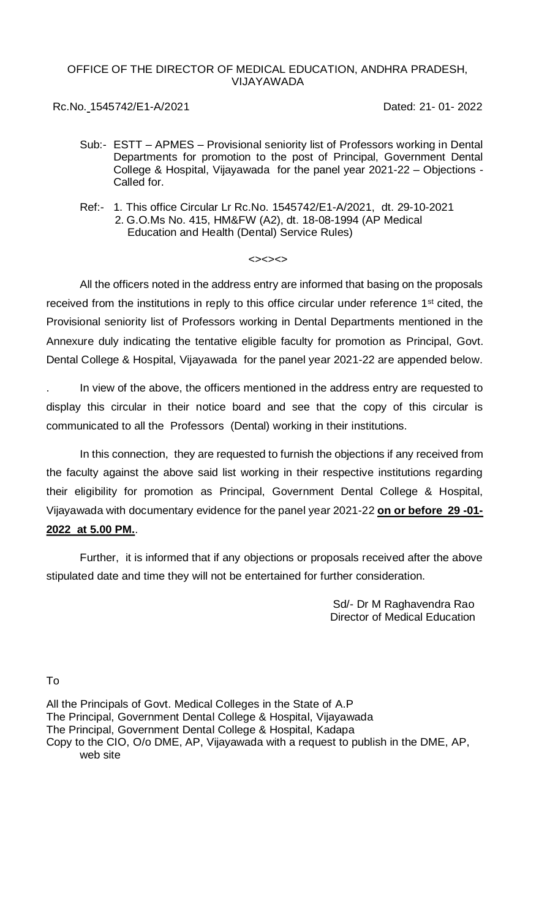# OFFICE OF THE DIRECTOR OF MEDICAL EDUCATION, ANDHRA PRADESH, VIJAYAWADA

Rc.No. 1545742/E1-A/2021 Dated: 21- 01- 2022

- Sub:- ESTT APMES Provisional seniority list of Professors working in Dental Departments for promotion to the post of Principal, Government Dental College & Hospital, Vijayawada for the panel year 2021-22 – Objections - Called for.
- Ref:- 1. This office Circular Lr Rc.No. 1545742/E1-A/2021, dt. 29-10-2021 2. G.O.Ms No. 415, HM&FW (A2), dt. 18-08-1994 (AP Medical Education and Health (Dental) Service Rules)

## $<<<>$

All the officers noted in the address entry are informed that basing on the proposals received from the institutions in reply to this office circular under reference 1<sup>st</sup> cited, the Provisional seniority list of Professors working in Dental Departments mentioned in the Annexure duly indicating the tentative eligible faculty for promotion as Principal, Govt. Dental College & Hospital, Vijayawada for the panel year 2021-22 are appended below.

. In view of the above, the officers mentioned in the address entry are requested to display this circular in their notice board and see that the copy of this circular is communicated to all the Professors (Dental) working in their institutions.

In this connection, they are requested to furnish the objections if any received from the faculty against the above said list working in their respective institutions regarding their eligibility for promotion as Principal, Government Dental College & Hospital, Vijayawada with documentary evidence for the panel year 2021-22 **on or before 29 -01- 2022 at 5.00 PM.**.

Further, it is informed that if any objections or proposals received after the above stipulated date and time they will not be entertained for further consideration.

> Sd/- Dr M Raghavendra Rao Director of Medical Education

To

All the Principals of Govt. Medical Colleges in the State of A.P The Principal, Government Dental College & Hospital, Vijayawada The Principal, Government Dental College & Hospital, Kadapa Copy to the CIO, O/o DME, AP, Vijayawada with a request to publish in the DME, AP, web site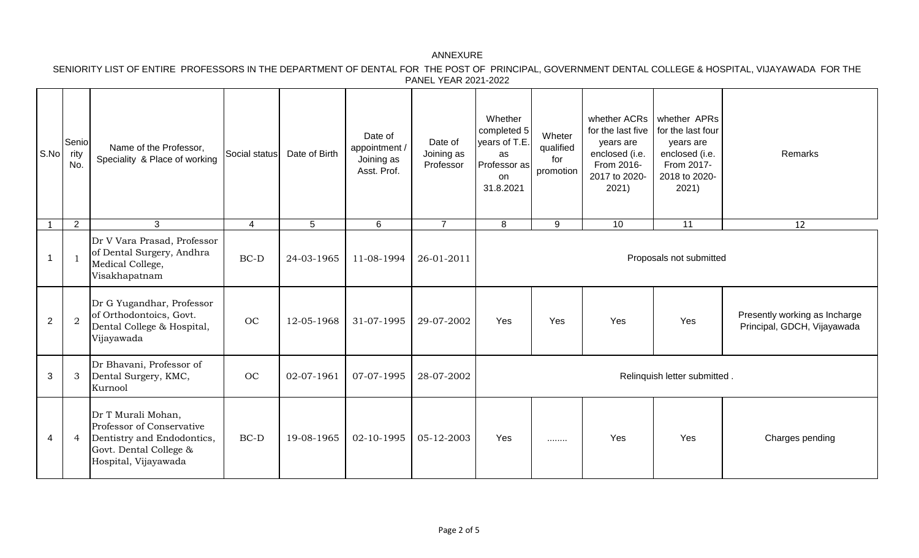SENIORITY LIST OF ENTIRE PROFESSORS IN THE DEPARTMENT OF DENTAL FOR THE POST OF PRINCIPAL, GOVERNMENT DENTAL COLLEGE & HOSPITAL, VIJAYAWADA FOR THE PANEL YEAR 2021-2022

| S.No           | Senio<br>rity<br>No. | Name of the Professor,<br>Speciality & Place of working                                                                         | Social status | Date of Birth | Date of<br>appointment /<br>Joining as<br>Asst. Prof. | Date of<br>Joining as<br>Professor | Whether<br>completed 5<br>years of T.E.<br>as<br>Professor as<br>on<br>31.8.2021 | Wheter<br>qualified<br>for<br>promotion | whether ACRs<br>for the last five<br>years are<br>enclosed (i.e.<br>From 2016-<br>2017 to 2020-<br>2021) | whether APRs<br>for the last four<br>years are<br>enclosed (i.e.<br>From 2017-<br>2018 to 2020-<br>2021) | Remarks                                                      |
|----------------|----------------------|---------------------------------------------------------------------------------------------------------------------------------|---------------|---------------|-------------------------------------------------------|------------------------------------|----------------------------------------------------------------------------------|-----------------------------------------|----------------------------------------------------------------------------------------------------------|----------------------------------------------------------------------------------------------------------|--------------------------------------------------------------|
|                | $\overline{2}$       | 3                                                                                                                               | 4             | 5             | 6                                                     | $\overline{7}$                     | 8                                                                                | 9                                       | 10                                                                                                       | 11                                                                                                       | 12                                                           |
| $\mathbf 1$    | -1                   | Dr V Vara Prasad, Professor<br>of Dental Surgery, Andhra<br>Medical College,<br>Visakhapatnam                                   | $BC-D$        | 24-03-1965    | 11-08-1994                                            | 26-01-2011                         | Proposals not submitted                                                          |                                         |                                                                                                          |                                                                                                          |                                                              |
| $\overline{2}$ | $\overline{2}$       | Dr G Yugandhar, Professor<br>of Orthodontoics, Govt.<br>Dental College & Hospital,<br>Vijayawada                                | OC            | 12-05-1968    | 31-07-1995                                            | 29-07-2002                         | Yes                                                                              | Yes                                     | Yes                                                                                                      | Yes                                                                                                      | Presently working as Incharge<br>Principal, GDCH, Vijayawada |
| 3              | 3                    | Dr Bhavani, Professor of<br>Dental Surgery, KMC,<br>Kurnool                                                                     | OC            | 02-07-1961    | 07-07-1995                                            | 28-07-2002                         | Relinquish letter submitted.                                                     |                                         |                                                                                                          |                                                                                                          |                                                              |
| $\overline{4}$ | $\overline{4}$       | Dr T Murali Mohan,<br>Professor of Conservative<br>Dentistry and Endodontics,<br>Govt. Dental College &<br>Hospital, Vijayawada | $BC-D$        | 19-08-1965    | 02-10-1995                                            | 05-12-2003                         | Yes                                                                              | .                                       | Yes                                                                                                      | Yes                                                                                                      | Charges pending                                              |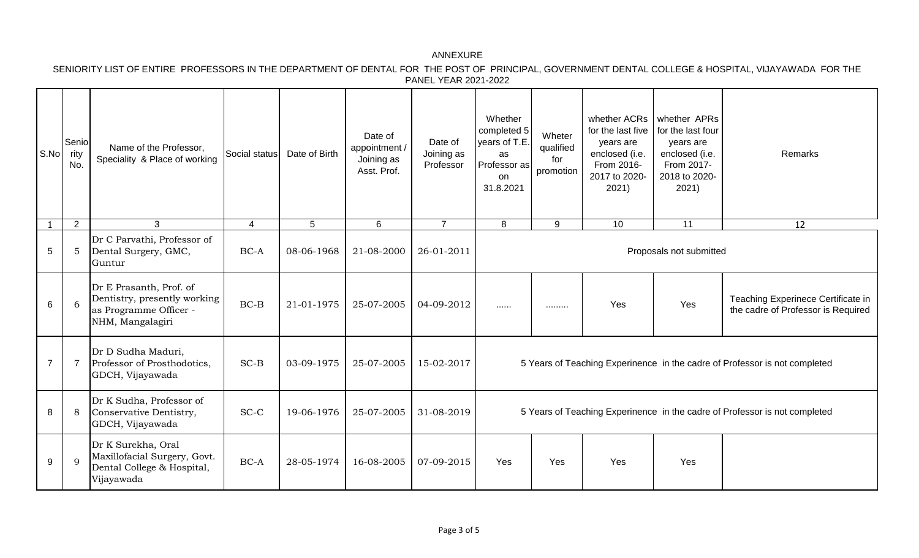SENIORITY LIST OF ENTIRE PROFESSORS IN THE DEPARTMENT OF DENTAL FOR THE POST OF PRINCIPAL, GOVERNMENT DENTAL COLLEGE & HOSPITAL, VIJAYAWADA FOR THE PANEL YEAR 2021-2022

| S.No           | Senio<br>rity<br>No. | Name of the Professor,<br>Speciality & Place of working                                               | Social status  | Date of Birth   | Date of<br>appointment /<br>Joining as<br>Asst. Prof. | Date of<br>Joining as<br>Professor | Whether<br>completed 5<br>vears of T.E.<br>as<br>Professor as<br>on<br>31.8.2021 | Wheter<br>qualified<br>for<br>promotion | whether ACRs<br>for the last five<br>years are<br>enclosed (i.e.<br>From 2016-<br>2017 to 2020-<br>2021) | whether APRs<br>for the last four<br>years are<br>enclosed (i.e.<br>From 2017-<br>2018 to 2020-<br>2021) | Remarks                                                                  |
|----------------|----------------------|-------------------------------------------------------------------------------------------------------|----------------|-----------------|-------------------------------------------------------|------------------------------------|----------------------------------------------------------------------------------|-----------------------------------------|----------------------------------------------------------------------------------------------------------|----------------------------------------------------------------------------------------------------------|--------------------------------------------------------------------------|
|                | 2                    | $\mathbf{3}$                                                                                          | $\overline{4}$ | $5\phantom{.0}$ | $6\phantom{1}$                                        | $\overline{7}$                     | 8                                                                                | 9                                       | 10                                                                                                       | 11                                                                                                       | 12                                                                       |
| $\sqrt{5}$     | 5                    | Dr C Parvathi, Professor of<br>Dental Surgery, GMC,<br>Guntur                                         | $BC-A$         | 08-06-1968      | 21-08-2000                                            | 26-01-2011                         | Proposals not submitted                                                          |                                         |                                                                                                          |                                                                                                          |                                                                          |
| 6              | 6                    | Dr E Prasanth, Prof. of<br>Dentistry, presently working<br>as Programme Officer -<br>NHM, Mangalagiri | $BC-B$         | 21-01-1975      | 25-07-2005                                            | 04-09-2012                         | .                                                                                | .                                       | Yes                                                                                                      | Yes                                                                                                      | Teaching Experinece Certificate in<br>the cadre of Professor is Required |
| $\overline{7}$ | $\overline{7}$       | Dr D Sudha Maduri,<br>Professor of Prosthodotics,<br>GDCH, Vijayawada                                 | $SC-B$         | 03-09-1975      | 25-07-2005                                            | 15-02-2017                         | 5 Years of Teaching Experinence in the cadre of Professor is not completed       |                                         |                                                                                                          |                                                                                                          |                                                                          |
| 8              | 8                    | Dr K Sudha, Professor of<br>Conservative Dentistry,<br>GDCH, Vijayawada                               | $SC-C$         | 19-06-1976      | 25-07-2005                                            | 31-08-2019                         | 5 Years of Teaching Experinence in the cadre of Professor is not completed       |                                         |                                                                                                          |                                                                                                          |                                                                          |
| 9              | 9                    | Dr K Surekha, Oral<br>Maxillofacial Surgery, Govt.<br>Dental College & Hospital,<br>Vijayawada        | $BC-A$         | 28-05-1974      | 16-08-2005                                            | 07-09-2015                         | Yes                                                                              | Yes                                     | Yes                                                                                                      | Yes                                                                                                      |                                                                          |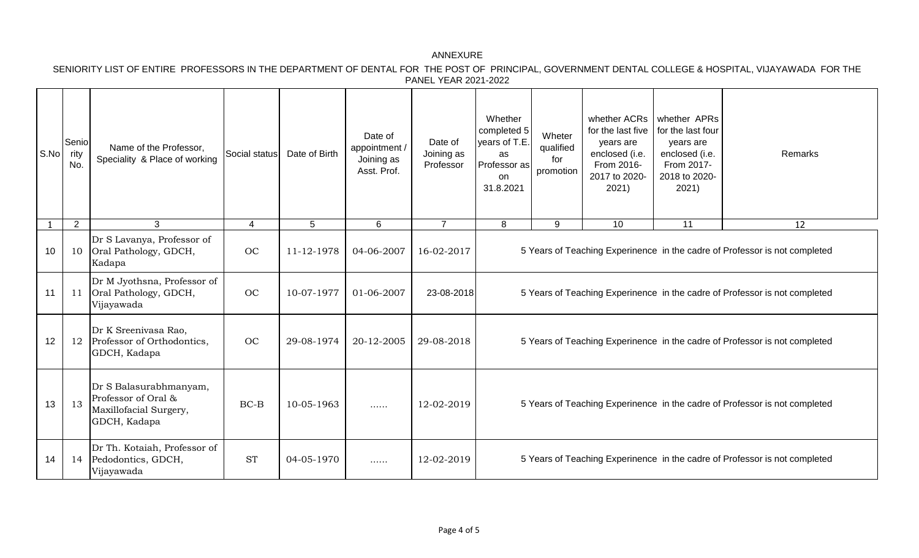SENIORITY LIST OF ENTIRE PROFESSORS IN THE DEPARTMENT OF DENTAL FOR THE POST OF PRINCIPAL, GOVERNMENT DENTAL COLLEGE & HOSPITAL, VIJAYAWADA FOR THE PANEL YEAR 2021-2022

| S.No | Senio<br>ritv<br>No. | Name of the Professor,<br>Speciality & Place of working                                 | Social status | Date of Birth | Date of<br>appointment /<br>Joining as<br>Asst. Prof. | Date of<br>Joining as<br>Professor | Whether<br>completed 5<br>years of T.E.<br>as<br>Professor as<br><b>on</b><br>31.8.2021 | Wheter<br>qualified<br>for<br>promotion | whether ACRs<br>for the last five<br>years are<br>enclosed (i.e.<br>From 2016-<br>2017 to 2020-<br>2021) | whether APRs<br>for the last four<br>years are<br>enclosed (i.e.<br>From 2017-<br>2018 to 2020-<br>2021) | <b>Remarks</b> |  |
|------|----------------------|-----------------------------------------------------------------------------------------|---------------|---------------|-------------------------------------------------------|------------------------------------|-----------------------------------------------------------------------------------------|-----------------------------------------|----------------------------------------------------------------------------------------------------------|----------------------------------------------------------------------------------------------------------|----------------|--|
|      | $\overline{2}$       | 3                                                                                       | 4             | 5             | 6                                                     | $\overline{7}$                     | 8                                                                                       | 9                                       | 10                                                                                                       | 11                                                                                                       | 12             |  |
| 10   | 10                   | Dr S Lavanya, Professor of<br>Oral Pathology, GDCH,<br>Kadapa                           | <b>OC</b>     | 11-12-1978    | 04-06-2007                                            | 16-02-2017                         | 5 Years of Teaching Experinence in the cadre of Professor is not completed              |                                         |                                                                                                          |                                                                                                          |                |  |
| 11   | 11                   | Dr M Jyothsna, Professor of<br>Oral Pathology, GDCH,<br>Vijayawada                      | <b>OC</b>     | 10-07-1977    | 01-06-2007                                            | 23-08-2018                         | 5 Years of Teaching Experinence in the cadre of Professor is not completed              |                                         |                                                                                                          |                                                                                                          |                |  |
| 12   | 12                   | Dr K Sreenivasa Rao,<br>Professor of Orthodontics,<br>GDCH, Kadapa                      | <b>OC</b>     | 29-08-1974    | 20-12-2005                                            | 29-08-2018                         | 5 Years of Teaching Experinence in the cadre of Professor is not completed              |                                         |                                                                                                          |                                                                                                          |                |  |
| 13   | 13                   | Dr S Balasurabhmanyam,<br>Professor of Oral &<br>Maxillofacial Surgery,<br>GDCH, Kadapa | $BC-B$        | 10-05-1963    |                                                       | 12-02-2019                         | 5 Years of Teaching Experinence in the cadre of Professor is not completed              |                                         |                                                                                                          |                                                                                                          |                |  |
| 14   | 14                   | Dr Th. Kotaiah, Professor of<br>Pedodontics, GDCH,<br>Vijayawada                        | <b>ST</b>     | 04-05-1970    | .                                                     | 12-02-2019                         | 5 Years of Teaching Experinence in the cadre of Professor is not completed              |                                         |                                                                                                          |                                                                                                          |                |  |